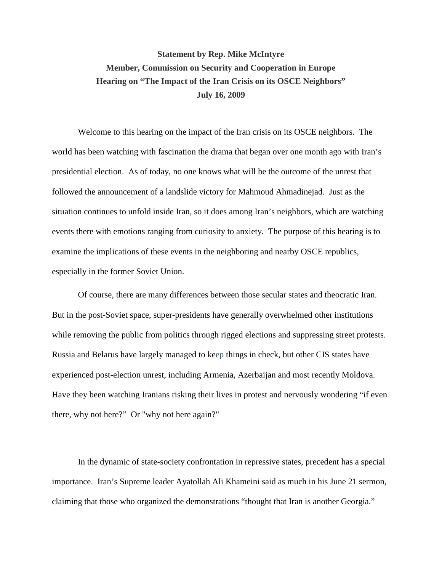## **Statement by Rep. Mike McIntyre Member, Commission on Security and Cooperation in Europe Hearing on "The Impact of the Iran Crisis on its OSCE Neighbors" July 16, 2009**

Welcome to this hearing on the impact of the Iran crisis on its OSCE neighbors. The world has been watching with fascination the drama that began over one month ago with Iran's presidential election. As of today, no one knows what will be the outcome of the unrest that followed the announcement of a landslide victory for Mahmoud Ahmadinejad. Just as the situation continues to unfold inside Iran, so it does among Iran's neighbors, which are watching events there with emotions ranging from curiosity to anxiety. The purpose of this hearing is to examine the implications of these events in the neighboring and nearby OSCE republics, especially in the former Soviet Union.

Of course, there are many differences between those secular states and theocratic Iran. But in the post-Soviet space, super-presidents have generally overwhelmed other institutions while removing the public from politics through rigged elections and suppressing street protests. Russia and Belarus have largely managed to keep things in check, but other CIS states have experienced post-election unrest, including Armenia, Azerbaijan and most recently Moldova. Have they been watching Iranians risking their lives in protest and nervously wondering "if even there, why not here?" Or "why not here again?"

In the dynamic of state-society confrontation in repressive states, precedent has a special importance. Iran's Supreme leader Ayatollah Ali Khameini said as much in his June 21 sermon, claiming that those who organized the demonstrations "thought that Iran is another Georgia."